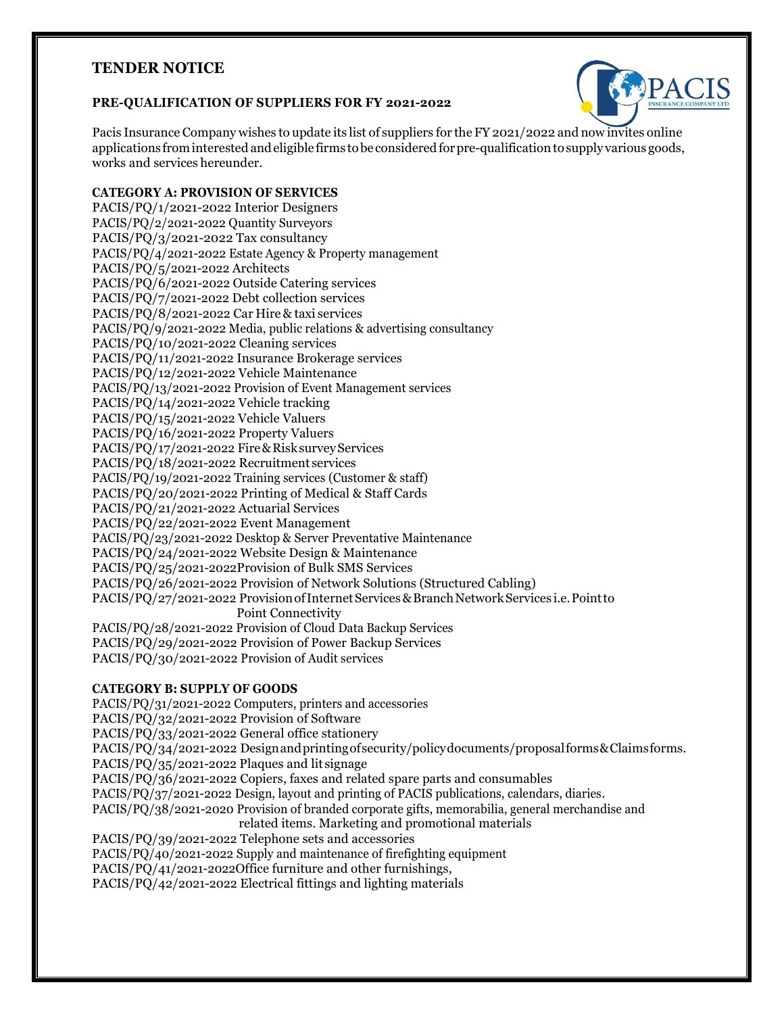# **TENDER NOTICE**

## **PRE-QUALIFICATION OF SUPPLIERS FOR FY 2021-2022**



Pacis Insurance Company wishes to update its list of suppliers for the FY 2021/2022 and now invites online applications from interested and eligible firms to be considered for pre-qualification to supply various goods, works and services hereunder.

# **CATEGORY A: PROVISION OF SERVICES**

PACIS/PQ/1/2021-2022 Interior Designers PACIS/PQ/2/2021-2022 Quantity Surveyors PACIS/PQ/3/2021-2022 Tax consultancy PACIS/PQ/4/2021-2022 Estate Agency & Property management PACIS/PQ/5/2021-2022 Architects PACIS/PQ/6/2021-2022 Outside Catering services PACIS/PQ/7/2021-2022 Debt collection services PACIS/PQ/8/2021-2022 Car Hire & taxi services PACIS/PQ/9/2021-2022 Media, public relations & advertising consultancy PACIS/PQ/10/2021-2022 Cleaning services PACIS/PQ/11/2021-2022 Insurance Brokerage services PACIS/PQ/12/2021-2022 Vehicle Maintenance PACIS/PQ/13/2021-2022 Provision of Event Management services PACIS/PQ/14/2021-2022 Vehicle tracking PACIS/PQ/15/2021-2022 Vehicle Valuers PACIS/PQ/16/2021-2022 Property Valuers PACIS/PQ/17/2021-2022 Fire & Risk survey Services PACIS/PQ/18/2021-2022 Recruitment services PACIS/PQ/19/2021-2022 Training services (Customer & staff) PACIS/PQ/20/2021-2022 Printing of Medical & Staff Cards PACIS/PQ/21/2021-2022 Actuarial Services PACIS/PQ/22/2021-2022 Event Management PACIS/PQ/23/2021-2022 Desktop & Server Preventative Maintenance PACIS/PQ/24/2021-2022 Website Design & Maintenance PACIS/PQ/25/2021-2022Provision of Bulk SMS Services PACIS/PQ/26/2021-2022 Provision of Network Solutions (Structured Cabling) PACIS/PQ/27/2021-2022 Provision of Internet Services & Branch Network Services i.e. Point to Point Connectivity PACIS/PQ/28/2021-2022 Provision of Cloud Data Backup Services PACIS/PQ/29/2021-2022 Provision of Power Backup Services PACIS/PQ/30/2021-2022 Provision of Audit services

#### **CATEGORY B: SUPPLY OF GOODS**

PACIS/PQ/31/2021-2022 Computers, printers and accessories PACIS/PQ/32/2021-2022 Provision of Software PACIS/PQ/33/2021-2022 General office stationery PACIS/PQ/34/2021-2022 Designandprintingofsecurity/policydocuments/proposalforms&Claimsforms. PACIS/PQ/35/2021-2022 Plaques and lit signage PACIS/PQ/36/2021-2022 Copiers, faxes and related spare parts and consumables PACIS/PQ/37/2021-2022 Design, layout and printing of PACIS publications, calendars, diaries. PACIS/PQ/38/2021-2020 Provision of branded corporate gifts, memorabilia, general merchandise and related items. Marketing and promotional materials PACIS/PQ/39/2021-2022 Telephone sets and accessories PACIS/PQ/40/2021-2022 Supply and maintenance of firefighting equipment PACIS/PQ/41/2021-2022Office furniture and other furnishings, PACIS/PQ/42/2021-2022 Electrical fittings and lighting materials